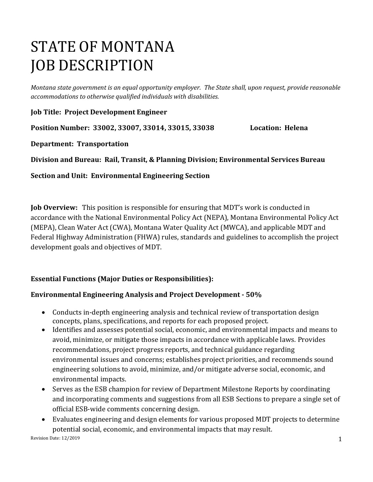# STATE OF MONTANA JOB DESCRIPTION

*Montana state government is an equal opportunity employer. The State shall, upon request, provide reasonable accommodations to otherwise qualified individuals with disabilities.*

**Job Title: Project Development Engineer**

**Position Number: 33002, 33007, 33014, 33015, 33038 Location: Helena**

**Department: Transportation** 

**Division and Bureau: Rail, Transit, & Planning Division; Environmental Services Bureau**

**Section and Unit: Environmental Engineering Section**

**Job Overview:** This position is responsible for ensuring that MDT's work is conducted in accordance with the National Environmental Policy Act (NEPA), Montana Environmental Policy Act (MEPA), Clean Water Act (CWA), Montana Water Quality Act (MWCA), and applicable MDT and Federal Highway Administration (FHWA) rules, standards and guidelines to accomplish the project development goals and objectives of MDT.

# **Essential Functions (Major Duties or Responsibilities):**

# **Environmental Engineering Analysis and Project Development - 50%**

- Conducts in-depth engineering analysis and technical review of transportation design concepts, plans, specifications, and reports for each proposed project.
- Identifies and assesses potential social, economic, and environmental impacts and means to avoid, minimize, or mitigate those impacts in accordance with applicable laws. Provides recommendations, project progress reports, and technical guidance regarding environmental issues and concerns; establishes project priorities, and recommends sound engineering solutions to avoid, minimize, and/or mitigate adverse social, economic, and environmental impacts.
- Serves as the ESB champion for review of Department Milestone Reports by coordinating and incorporating comments and suggestions from all ESB Sections to prepare a single set of official ESB-wide comments concerning design.
- Evaluates engineering and design elements for various proposed MDT projects to determine potential social, economic, and environmental impacts that may result.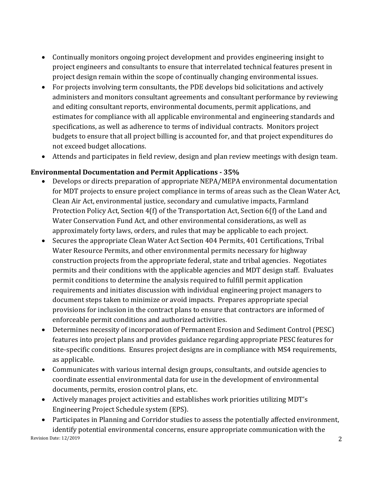- Continually monitors ongoing project development and provides engineering insight to project engineers and consultants to ensure that interrelated technical features present in project design remain within the scope of continually changing environmental issues.
- For projects involving term consultants, the PDE develops bid solicitations and actively administers and monitors consultant agreements and consultant performance by reviewing and editing consultant reports, environmental documents, permit applications, and estimates for compliance with all applicable environmental and engineering standards and specifications, as well as adherence to terms of individual contracts. Monitors project budgets to ensure that all project billing is accounted for, and that project expenditures do not exceed budget allocations.
- Attends and participates in field review, design and plan review meetings with design team.

# **Environmental Documentation and Permit Applications - 35%**

- Develops or directs preparation of appropriate NEPA/MEPA environmental documentation for MDT projects to ensure project compliance in terms of areas such as the Clean Water Act, Clean Air Act, environmental justice, secondary and cumulative impacts, Farmland Protection Policy Act, Section 4(f) of the Transportation Act, Section 6(f) of the Land and Water Conservation Fund Act, and other environmental considerations, as well as approximately forty laws, orders, and rules that may be applicable to each project.
- Secures the appropriate Clean Water Act Section 404 Permits, 401 Certifications, Tribal Water Resource Permits, and other environmental permits necessary for highway construction projects from the appropriate federal, state and tribal agencies. Negotiates permits and their conditions with the applicable agencies and MDT design staff. Evaluates permit conditions to determine the analysis required to fulfill permit application requirements and initiates discussion with individual engineering project managers to document steps taken to minimize or avoid impacts. Prepares appropriate special provisions for inclusion in the contract plans to ensure that contractors are informed of enforceable permit conditions and authorized activities.
- Determines necessity of incorporation of Permanent Erosion and Sediment Control (PESC) features into project plans and provides guidance regarding appropriate PESC features for site-specific conditions. Ensures project designs are in compliance with MS4 requirements, as applicable.
- Communicates with various internal design groups, consultants, and outside agencies to coordinate essential environmental data for use in the development of environmental documents, permits, erosion control plans, etc.
- Actively manages project activities and establishes work priorities utilizing MDT's Engineering Project Schedule system (EPS).
- Revision Date: 12/2019 2 • Participates in Planning and Corridor studies to assess the potentially affected environment, identify potential environmental concerns, ensure appropriate communication with the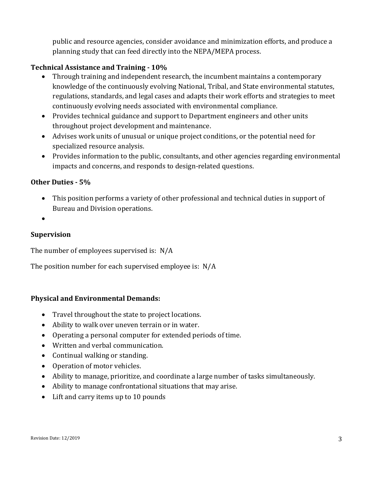public and resource agencies, consider avoidance and minimization efforts, and produce a planning study that can feed directly into the NEPA/MEPA process.

# **Technical Assistance and Training - 10%**

- Through training and independent research, the incumbent maintains a contemporary knowledge of the continuously evolving National, Tribal, and State environmental statutes, regulations, standards, and legal cases and adapts their work efforts and strategies to meet continuously evolving needs associated with environmental compliance.
- Provides technical guidance and support to Department engineers and other units throughout project development and maintenance.
- Advises work units of unusual or unique project conditions, or the potential need for specialized resource analysis.
- Provides information to the public, consultants, and other agencies regarding environmental impacts and concerns, and responds to design-related questions.

#### **Other Duties - 5%**

- This position performs a variety of other professional and technical duties in support of Bureau and Division operations.
- •

#### **Supervision**

The number of employees supervised is: N/A

The position number for each supervised employee is: N/A

#### **Physical and Environmental Demands:**

- Travel throughout the state to project locations.
- Ability to walk over uneven terrain or in water.
- Operating a personal computer for extended periods of time.
- Written and verbal communication.
- Continual walking or standing.
- Operation of motor vehicles.
- Ability to manage, prioritize, and coordinate a large number of tasks simultaneously.
- Ability to manage confrontational situations that may arise.
- Lift and carry items up to 10 pounds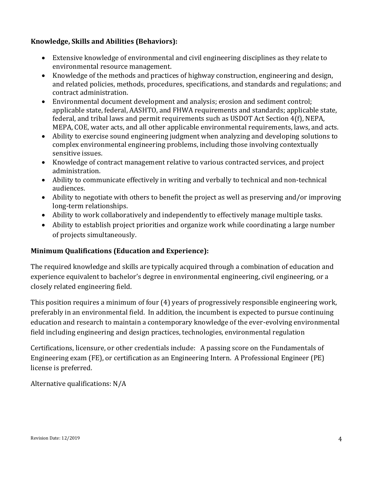# **Knowledge, Skills and Abilities (Behaviors):**

- Extensive knowledge of environmental and civil engineering disciplines as they relate to environmental resource management.
- Knowledge of the methods and practices of highway construction, engineering and design, and related policies, methods, procedures, specifications, and standards and regulations; and contract administration.
- Environmental document development and analysis; erosion and sediment control; applicable state, federal, AASHTO, and FHWA requirements and standards; applicable state, federal, and tribal laws and permit requirements such as USDOT Act Section 4(f), NEPA, MEPA, COE, water acts, and all other applicable environmental requirements, laws, and acts.
- Ability to exercise sound engineering judgment when analyzing and developing solutions to complex environmental engineering problems, including those involving contextually sensitive issues.
- Knowledge of contract management relative to various contracted services, and project administration.
- Ability to communicate effectively in writing and verbally to technical and non-technical audiences.
- Ability to negotiate with others to benefit the project as well as preserving and/or improving long-term relationships.
- Ability to work collaboratively and independently to effectively manage multiple tasks.
- Ability to establish project priorities and organize work while coordinating a large number of projects simultaneously.

# **Minimum Qualifications (Education and Experience):**

The required knowledge and skills are typically acquired through a combination of education and experience equivalent to bachelor's degree in environmental engineering, civil engineering, or a closely related engineering field.

This position requires a minimum of four (4) years of progressively responsible engineering work, preferably in an environmental field. In addition, the incumbent is expected to pursue continuing education and research to maintain a contemporary knowledge of the ever-evolving environmental field including engineering and design practices, technologies, environmental regulation

Certifications, licensure, or other credentials include: A passing score on the Fundamentals of Engineering exam (FE), or certification as an Engineering Intern. A Professional Engineer (PE) license is preferred.

Alternative qualifications: N/A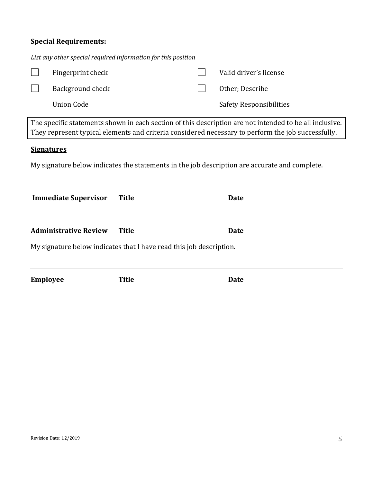# **Special Requirements:**

| List any other special required information for this position                                                                                                                                                 |                              |              |  |                         |  |
|---------------------------------------------------------------------------------------------------------------------------------------------------------------------------------------------------------------|------------------------------|--------------|--|-------------------------|--|
|                                                                                                                                                                                                               | Fingerprint check            |              |  | Valid driver's license  |  |
|                                                                                                                                                                                                               | Background check             |              |  | Other; Describe         |  |
|                                                                                                                                                                                                               | <b>Union Code</b>            |              |  | Safety Responsibilities |  |
| The specific statements shown in each section of this description are not intended to be all inclusive.<br>They represent typical elements and criteria considered necessary to perform the job successfully. |                              |              |  |                         |  |
| <b>Signatures</b>                                                                                                                                                                                             |                              |              |  |                         |  |
| My signature below indicates the statements in the job description are accurate and complete.                                                                                                                 |                              |              |  |                         |  |
|                                                                                                                                                                                                               | <b>Immediate Supervisor</b>  | <b>Title</b> |  | <b>Date</b>             |  |
|                                                                                                                                                                                                               | <b>Administrative Review</b> | <b>Title</b> |  | <b>Date</b>             |  |
| My signature below indicates that I have read this job description.                                                                                                                                           |                              |              |  |                         |  |
|                                                                                                                                                                                                               |                              |              |  |                         |  |
|                                                                                                                                                                                                               | <b>Employee</b>              | <b>Title</b> |  | <b>Date</b>             |  |
|                                                                                                                                                                                                               |                              |              |  |                         |  |